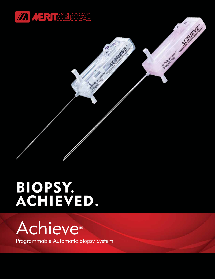

A Tomorrow and Mary Reserved

## BIOPSY. ACHIEVED.

# Achieve®

Programmable Automatic Biopsy System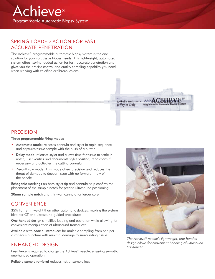## SPRING-LOADED ACTION FOR FAST, ACCURATE PENETRATION

The Achieve® programmable automatic biopsy system is the one solution for your soft tissue biopsy needs. This lightweight, automated system offers spring-loaded action for fast, accurate penetration and gives you the precise control and quality sampling capability you need when working with calcified or fibrous lesions.



#### PRECISION

#### Three programmable firing modes

- Automatic mode: releases cannula and stylet in rapid sequence and captures tissue sample with the push of a button
- Delay mode: releases stylet and allows time for tissue to settle in notch; user verifies and documents stylet position, repositions if necessary and activates the cutting cannula
- Zero-Throw mode: This mode offers precision and reduces the threat of damage to deeper tissue with no forward throw of the needle

Echogenic markings on both stylet tip and cannula help confirm the placement of the sample notch for precise ultrasound positioning

20mm sample notch and thin-wall cannula for larger core

#### **CONVENIENCE**

35% lighter in weight than other automatic devices, making the system ideal for CT and ultrasound-guided procedures

One-handed design simplifies loading and operation while allowing for convenient manipulation of ultrasound transducer

Available with coaxial introducer for multiple sampling from one percutaneous puncture with minimal damage to surrounding tissue

#### ENHANCED DESIGN

Less force is required to charge the Achieve® needle, ensuring smooth, one-handed operation



*The Achieve® needle's lightweight, one-handed design allows for convenient handling of ultrasound transducer.*

Reliable sample retrieval reduces risk of sample loss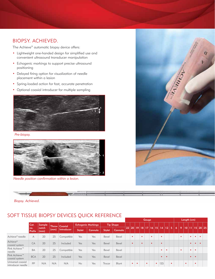## BIOPSY. ACHIEVED.

The Achieve® automatic biopsy device offers:

- Lightweight one-handed design for simplified use and convenient ultrasound transducer manipulation
- Echogenic markings to support precise ultrasound positioning
- Delayed firing option for visualization of needle placement within a lesion
- Spring-loaded action for fast, accurate penetration
- Optional coaxial introducer for multiple sampling



*Pre-biopsy.*



*Needle position confirmation within a lesion.*



*Biopsy. Achieved.*

## SOFT TISSUE BIOPSY DEVICES QUICK REFERENCE

|                                             |                       |                         |                 |                      |                           |         |                  |         | Gauge |             |   |   |           |           |           |           |    | Length (cm)    |   |   |           |   |           |           |                   |
|---------------------------------------------|-----------------------|-------------------------|-----------------|----------------------|---------------------------|---------|------------------|---------|-------|-------------|---|---|-----------|-----------|-----------|-----------|----|----------------|---|---|-----------|---|-----------|-----------|-------------------|
|                                             | Cat.<br>no.<br>Prefix | Sample<br>notch<br>(mm) |                 | <b>Throw Coaxial</b> | <b>Echogenic Markings</b> |         | <b>Tip Shape</b> |         |       |             |   |   |           |           |           |           |    |                |   |   |           |   |           |           |                   |
|                                             |                       |                         | (mm)            | Introducer           | <b>Stylet</b>             | Cannula | <b>Stylet</b>    | Cannula |       | 22 20 19 18 |   |   |           |           | 17 16 15  | 14        | 12 | $\overline{5}$ | 6 | 9 |           |   |           |           | $10$  11 15 20 25 |
| Achieve <sup>®</sup> needle                 | A                     | 20                      | 25              | Compatible           | Yes                       | Yes     | Bevel            | Bevel   |       | $\bullet$   |   | ٠ |           | ٠         |           | $\bullet$ |    |                |   | ٠ |           | ٠ |           | $\bullet$ |                   |
| Achieve®<br>coaxial system                  | CA                    | 20                      | 25 <sup>°</sup> | Included             | Yes                       | Yes     | Bevel            | Bevel   |       | $\bullet$   |   | ٠ |           | $\bullet$ |           | $\bullet$ |    |                |   |   |           | ٠ |           | $\bullet$ |                   |
| Pink Achieve <sup>™</sup><br>needle         | <b>BA</b>             | 20                      | 25              | Compatible           | Yes                       | Yes     | Bevel            | Bevel   |       |             |   |   |           |           |           |           |    |                |   |   |           | ٠ | $\bullet$ |           |                   |
| Pink Achieve <sup>™</sup><br>coaxial system | <b>BCA</b>            | 20                      | 25              | Included             | Yes                       | Yes     | Bevel            | Bevel   |       |             |   |   |           |           |           |           |    |                |   |   |           | ٠ | $\bullet$ |           |                   |
| Universal coaxial<br>introducer needle      | PP                    | N/A                     | N/A             | N/A                  | No                        | Yes     | Trocar           | Blunt   |       | $\bullet$   | ٠ |   | $\bullet$ |           | $\bullet$ | 13.5      |    | $\bullet$      |   |   | $\bullet$ |   | $\bullet$ |           |                   |